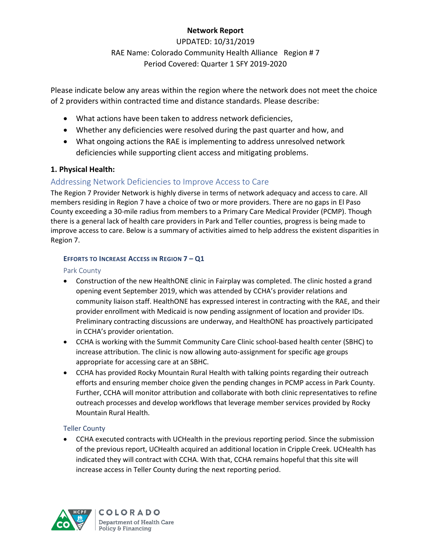## **Network Report**

UPDATED: 10/31/2019 RAE Name: Colorado Community Health Alliance Region # 7 Period Covered: Quarter 1 SFY 2019-2020

Please indicate below any areas within the region where the network does not meet the choice of 2 providers within contracted time and distance standards. Please describe:

- What actions have been taken to address network deficiencies,
- Whether any deficiencies were resolved during the past quarter and how, and
- What ongoing actions the RAE is implementing to address unresolved network deficiencies while supporting client access and mitigating problems.

## **1. Physical Health:**

# Addressing Network Deficiencies to Improve Access to Care

The Region 7 Provider Network is highly diverse in terms of network adequacy and access to care. All members residing in Region 7 have a choice of two or more providers. There are no gaps in El Paso County exceeding a 30-mile radius from members to a Primary Care Medical Provider (PCMP). Though there is a general lack of health care providers in Park and Teller counties, progress is being made to improve access to care. Below is a summary of activities aimed to help address the existent disparities in Region 7.

### **EFFORTS TO INCREASE ACCESS IN REGION 7 – Q1**

### Park County

- Construction of the new HealthONE clinic in Fairplay was completed. The clinic hosted a grand opening event September 2019, which was attended by CCHA's provider relations and community liaison staff. HealthONE has expressed interest in contracting with the RAE, and their provider enrollment with Medicaid is now pending assignment of location and provider IDs. Preliminary contracting discussions are underway, and HealthONE has proactively participated in CCHA's provider orientation.
- CCHA is working with the Summit Community Care Clinic school-based health center (SBHC) to increase attribution. The clinic is now allowing auto-assignment for specific age groups appropriate for accessing care at an SBHC.
- CCHA has provided Rocky Mountain Rural Health with talking points regarding their outreach efforts and ensuring member choice given the pending changes in PCMP access in Park County. Further, CCHA will monitor attribution and collaborate with both clinic representatives to refine outreach processes and develop workflows that leverage member services provided by Rocky Mountain Rural Health.

## Teller County

 CCHA executed contracts with UCHealth in the previous reporting period. Since the submission of the previous report, UCHealth acquired an additional location in Cripple Creek. UCHealth has indicated they will contract with CCHA. With that, CCHA remains hopeful that this site will increase access in Teller County during the next reporting period.



**COLORADO** Department of Health Care Policy & Financing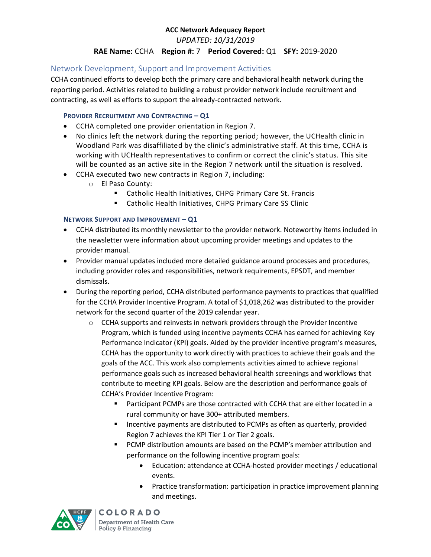*UPDATED: 10/31/2019*

### **RAE Name:** CCHA **Region #:** 7 **Period Covered:** Q1 **SFY:** 2019-2020

## Network Development, Support and Improvement Activities

CCHA continued efforts to develop both the primary care and behavioral health network during the reporting period. Activities related to building a robust provider network include recruitment and contracting, as well as efforts to support the already-contracted network.

### **PROVIDER RECRUITMENT AND CONTRACTING – Q1**

- CCHA completed one provider orientation in Region 7.
- No clinics left the network during the reporting period; however, the UCHealth clinic in Woodland Park was disaffiliated by the clinic's administrative staff. At this time, CCHA is working with UCHealth representatives to confirm or correct the clinic's status. This site will be counted as an active site in the Region 7 network until the situation is resolved.
- CCHA executed two new contracts in Region 7, including:
	- o El Paso County:
		- Catholic Health Initiatives, CHPG Primary Care St. Francis
		- Catholic Health Initiatives, CHPG Primary Care SS Clinic

### **NETWORK SUPPORT AND IMPROVEMENT – Q1**

- CCHA distributed its monthly newsletter to the provider network. Noteworthy items included in the newsletter were information about upcoming provider meetings and updates to the provider manual.
- Provider manual updates included more detailed guidance around processes and procedures, including provider roles and responsibilities, network requirements, EPSDT, and member dismissals.
- During the reporting period, CCHA distributed performance payments to practices that qualified for the CCHA Provider Incentive Program. A total of \$1,018,262 was distributed to the provider network for the second quarter of the 2019 calendar year.
	- $\circ$  CCHA supports and reinvests in network providers through the Provider Incentive Program, which is funded using incentive payments CCHA has earned for achieving Key Performance Indicator (KPI) goals. Aided by the provider incentive program's measures, CCHA has the opportunity to work directly with practices to achieve their goals and the goals of the ACC. This work also complements activities aimed to achieve regional performance goals such as increased behavioral health screenings and workflows that contribute to meeting KPI goals. Below are the description and performance goals of CCHA's Provider Incentive Program:
		- Participant PCMPs are those contracted with CCHA that are either located in a rural community or have 300+ attributed members.
		- Incentive payments are distributed to PCMPs as often as quarterly, provided Region 7 achieves the KPI Tier 1 or Tier 2 goals.
		- PCMP distribution amounts are based on the PCMP's member attribution and performance on the following incentive program goals:
			- Education: attendance at CCHA-hosted provider meetings / educational events.
			- Practice transformation: participation in practice improvement planning and meetings.



**COLORADO** Department of Health Care Policy & Financing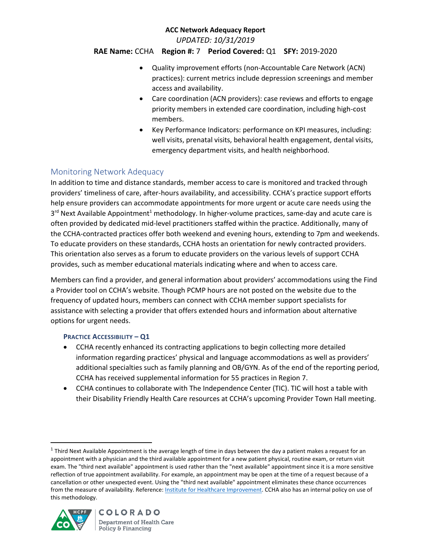*UPDATED: 10/31/2019*

### **RAE Name:** CCHA **Region #:** 7 **Period Covered:** Q1 **SFY:** 2019-2020

- Quality improvement efforts (non-Accountable Care Network (ACN) practices): current metrics include depression screenings and member access and availability.
- Care coordination (ACN providers): case reviews and efforts to engage priority members in extended care coordination, including high-cost members.
- Key Performance Indicators: performance on KPI measures, including: well visits, prenatal visits, behavioral health engagement, dental visits, emergency department visits, and health neighborhood.

## Monitoring Network Adequacy

In addition to time and distance standards, member access to care is monitored and tracked through providers' timeliness of care, after-hours availability, and accessibility. CCHA's practice support efforts help ensure providers can accommodate appointments for more urgent or acute care needs using the 3<sup>rd</sup> Next Available Appointment<sup>1</sup> methodology. In higher-volume practices, same-day and acute care is often provided by dedicated mid-level practitioners staffed within the practice. Additionally, many of the CCHA-contracted practices offer both weekend and evening hours, extending to 7pm and weekends. To educate providers on these standards, CCHA hosts an orientation for newly contracted providers. This orientation also serves as a forum to educate providers on the various levels of support CCHA provides, such as member educational materials indicating where and when to access care.

Members can find a provider, and general information about providers' accommodations using the Find a Provider tool on CCHA's website. Though PCMP hours are not posted on the website due to the frequency of updated hours, members can connect with CCHA member support specialists for assistance with selecting a provider that offers extended hours and information about alternative options for urgent needs.

### **PRACTICE ACCESSIBILITY – Q1**

- CCHA recently enhanced its contracting applications to begin collecting more detailed information regarding practices' physical and language accommodations as well as providers' additional specialties such as family planning and OB/GYN. As of the end of the reporting period, CCHA has received supplemental information for 55 practices in Region 7.
- CCHA continues to collaborate with The Independence Center (TIC). TIC will host a table with their Disability Friendly Health Care resources at CCHA's upcoming Provider Town Hall meeting.

<sup>&</sup>lt;sup>1</sup> Third Next Available Appointment is the average length of time in days between the day a patient makes a request for an appointment with a physician and the third available appointment for a new patient physical, routine exam, or return visit exam. The "third next available" appointment is used rather than the "next available" appointment since it is a more sensitive reflection of true appointment availability. For example, an appointment may be open at the time of a request because of a cancellation or other unexpected event. Using the "third next available" appointment eliminates these chance occurrences from the measure of availability. Reference[: Institute for Healthcare Improvement.](http://www.ihi.org/resources/Pages/Measures/ThirdNextAvailableAppointment.aspx) CCHA also has an internal policy on use of this methodology.



 $\overline{a}$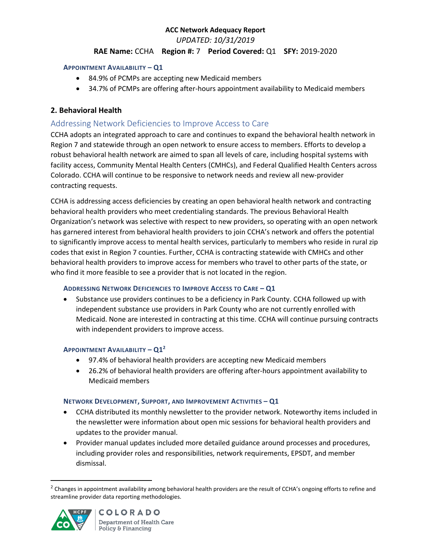*UPDATED: 10/31/2019*

### **RAE Name:** CCHA **Region #:** 7 **Period Covered:** Q1 **SFY:** 2019-2020

#### **APPOINTMENT AVAILABILITY – Q1**

- 84.9% of PCMPs are accepting new Medicaid members
- 34.7% of PCMPs are offering after-hours appointment availability to Medicaid members

## **2. Behavioral Health**

## Addressing Network Deficiencies to Improve Access to Care

CCHA adopts an integrated approach to care and continues to expand the behavioral health network in Region 7 and statewide through an open network to ensure access to members. Efforts to develop a robust behavioral health network are aimed to span all levels of care, including hospital systems with facility access, Community Mental Health Centers (CMHCs), and Federal Qualified Health Centers across Colorado. CCHA will continue to be responsive to network needs and review all new-provider contracting requests.

CCHA is addressing access deficiencies by creating an open behavioral health network and contracting behavioral health providers who meet credentialing standards. The previous Behavioral Health Organization's network was selective with respect to new providers, so operating with an open network has garnered interest from behavioral health providers to join CCHA's network and offers the potential to significantly improve access to mental health services, particularly to members who reside in rural zip codes that exist in Region 7 counties. Further, CCHA is contracting statewide with CMHCs and other behavioral health providers to improve access for members who travel to other parts of the state, or who find it more feasible to see a provider that is not located in the region.

### **ADDRESSING NETWORK DEFICIENCIES TO IMPROVE ACCESS TO CARE – Q1**

 Substance use providers continues to be a deficiency in Park County. CCHA followed up with independent substance use providers in Park County who are not currently enrolled with Medicaid. None are interested in contracting at this time. CCHA will continue pursuing contracts with independent providers to improve access.

### **APPOINTMENT AVAILABILITY – Q1<sup>2</sup>**

- 97.4% of behavioral health providers are accepting new Medicaid members
- 26.2% of behavioral health providers are offering after-hours appointment availability to Medicaid members

### **NETWORK DEVELOPMENT, SUPPORT, AND IMPROVEMENT ACTIVITIES – Q1**

- CCHA distributed its monthly newsletter to the provider network. Noteworthy items included in the newsletter were information about open mic sessions for behavioral health providers and updates to the provider manual.
- Provider manual updates included more detailed guidance around processes and procedures, including provider roles and responsibilities, network requirements, EPSDT, and member dismissal.

 $<sup>2</sup>$  Changes in appointment availability among behavioral health providers are the result of CCHA's ongoing efforts to refine and</sup> streamline provider data reporting methodologies.



 $\overline{\phantom{a}}$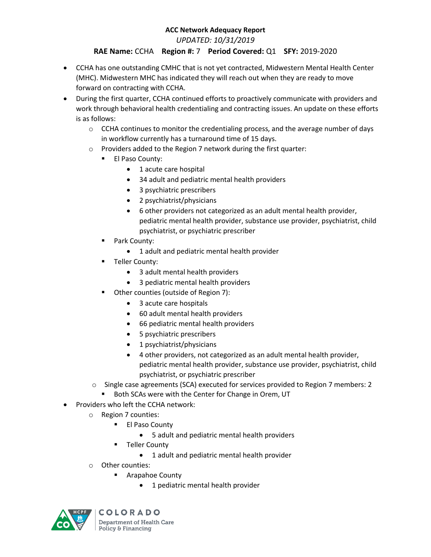*UPDATED: 10/31/2019*

## **RAE Name:** CCHA **Region #:** 7 **Period Covered:** Q1 **SFY:** 2019-2020

- CCHA has one outstanding CMHC that is not yet contracted, Midwestern Mental Health Center (MHC). Midwestern MHC has indicated they will reach out when they are ready to move forward on contracting with CCHA.
- During the first quarter, CCHA continued efforts to proactively communicate with providers and work through behavioral health credentialing and contracting issues. An update on these efforts is as follows:
	- $\circ$  CCHA continues to monitor the credentialing process, and the average number of days in workflow currently has a turnaround time of 15 days.
	- o Providers added to the Region 7 network during the first quarter:
		- **El Paso County:** 
			- 1 acute care hospital
			- 34 adult and pediatric mental health providers
			- 3 psychiatric prescribers
			- 2 psychiatrist/physicians
			- 6 other providers not categorized as an adult mental health provider, pediatric mental health provider, substance use provider, psychiatrist, child psychiatrist, or psychiatric prescriber
		- **Park County:** 
			- 1 adult and pediatric mental health provider
		- **Teller County:** 
			- 3 adult mental health providers
			- 3 pediatric mental health providers
		- **Other counties (outside of Region 7):** 
			- 3 acute care hospitals
			- 60 adult mental health providers
			- 66 pediatric mental health providers
			- 5 psychiatric prescribers
			- 1 psychiatrist/physicians
			- 4 other providers, not categorized as an adult mental health provider, pediatric mental health provider, substance use provider, psychiatrist, child psychiatrist, or psychiatric prescriber
	- o Single case agreements (SCA) executed for services provided to Region 7 members: 2
		- **Both SCAs were with the Center for Change in Orem, UT**
- Providers who left the CCHA network:
	- o Region 7 counties:
		- **El Paso County** 
			- 5 adult and pediatric mental health providers
		- Teller County
			- 1 adult and pediatric mental health provider
	- o Other counties:
		- Arapahoe County
			- 1 pediatric mental health provider



**COLORADO** Department of Health Care Policy & Financing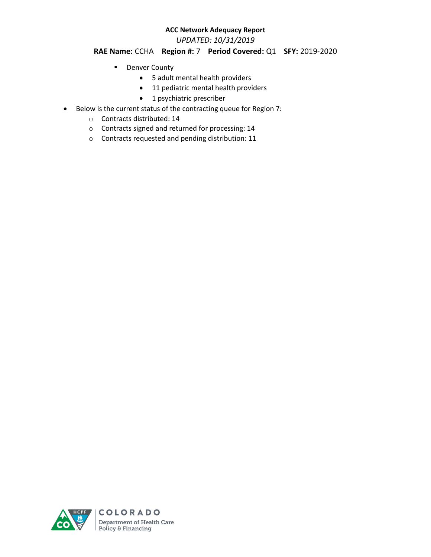*UPDATED: 10/31/2019*

### **RAE Name:** CCHA **Region #:** 7 **Period Covered:** Q1 **SFY:** 2019-2020

- **Denver County** 
	- 5 adult mental health providers
	- 11 pediatric mental health providers
	- 1 psychiatric prescriber
- Below is the current status of the contracting queue for Region 7:
	- o Contracts distributed: 14
	- o Contracts signed and returned for processing: 14
	- o Contracts requested and pending distribution: 11

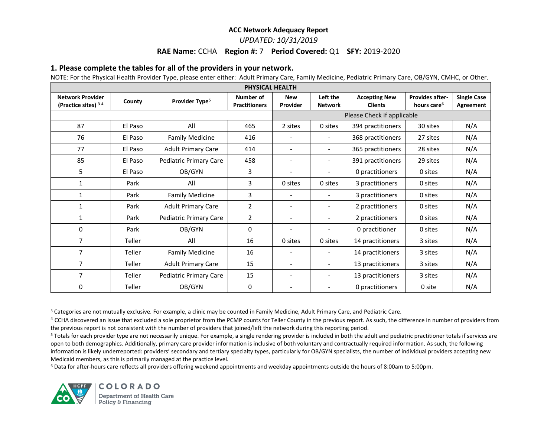#### *UPDATED: 10/31/2019*

#### **RAE Name:** CCHA **Region #:** 7 **Period Covered:** Q1 **SFY:** 2019-2020

#### **1. Please complete the tables for all of the providers in your network.**

NOTE: For the Physical Health Provider Type, please enter either: Adult Primary Care, Family Medicine, Pediatric Primary Care, OB/GYN, CMHC, or Other.

| PHYSICAL HEALTH                                |         |                            |                                   |                            |                            |                                        |                                                   |                                 |  |
|------------------------------------------------|---------|----------------------------|-----------------------------------|----------------------------|----------------------------|----------------------------------------|---------------------------------------------------|---------------------------------|--|
| <b>Network Provider</b><br>(Practice sites) 34 | County  | Provider Type <sup>5</sup> | Number of<br><b>Practitioners</b> | <b>New</b><br>Provider     | Left the<br><b>Network</b> | <b>Accepting New</b><br><b>Clients</b> | <b>Provides after-</b><br>hours care <sup>6</sup> | <b>Single Case</b><br>Agreement |  |
|                                                |         |                            |                                   | Please Check if applicable |                            |                                        |                                                   |                                 |  |
| 87                                             | El Paso | All                        | 465                               | 2 sites                    | 0 sites                    | 394 practitioners                      | 30 sites                                          | N/A                             |  |
| 76                                             | El Paso | <b>Family Medicine</b>     | 416                               |                            | $\blacksquare$             | 368 practitioners                      | 27 sites                                          | N/A                             |  |
| 77                                             | El Paso | <b>Adult Primary Care</b>  | 414                               |                            | $\overline{\phantom{a}}$   | 365 practitioners                      | 28 sites                                          | N/A                             |  |
| 85                                             | El Paso | Pediatric Primary Care     | 458                               | $\overline{\phantom{a}}$   | $\overline{\phantom{a}}$   | 391 practitioners                      | 29 sites                                          | N/A                             |  |
| 5                                              | El Paso | OB/GYN                     | 3                                 |                            |                            | 0 practitioners                        | 0 sites                                           | N/A                             |  |
| 1                                              | Park    | All                        | 3                                 | 0 sites                    | 0 sites                    | 3 practitioners                        | 0 sites                                           | N/A                             |  |
| 1                                              | Park    | <b>Family Medicine</b>     | 3                                 | $\qquad \qquad -$          | $\blacksquare$             | 3 practitioners                        | 0 sites                                           | N/A                             |  |
| $\mathbf{1}$                                   | Park    | <b>Adult Primary Care</b>  | $\overline{2}$                    | $\overline{\phantom{a}}$   | $\overline{\phantom{a}}$   | 2 practitioners                        | 0 sites                                           | N/A                             |  |
| 1                                              | Park    | Pediatric Primary Care     | $\overline{2}$                    | $\overline{\phantom{a}}$   | $\overline{\phantom{a}}$   | 2 practitioners                        | 0 sites                                           | N/A                             |  |
| 0                                              | Park    | OB/GYN                     | $\Omega$                          | $\overline{\phantom{a}}$   | $\overline{\phantom{a}}$   | 0 practitioner                         | 0 sites                                           | N/A                             |  |
| $\overline{7}$                                 | Teller  | All                        | 16                                | 0 sites                    | 0 sites                    | 14 practitioners                       | 3 sites                                           | N/A                             |  |
| 7                                              | Teller  | <b>Family Medicine</b>     | 16                                | $\overline{\phantom{a}}$   | $\overline{\phantom{a}}$   | 14 practitioners                       | 3 sites                                           | N/A                             |  |
| $\overline{7}$                                 | Teller  | <b>Adult Primary Care</b>  | 15                                | $\overline{\phantom{a}}$   | $\overline{\phantom{a}}$   | 13 practitioners                       | 3 sites                                           | N/A                             |  |
| 7                                              | Teller  | Pediatric Primary Care     | 15                                | $\overline{\phantom{a}}$   | $\overline{\phantom{a}}$   | 13 practitioners                       | 3 sites                                           | N/A                             |  |
| 0                                              | Teller  | OB/GYN                     | 0                                 |                            | $\overline{\phantom{a}}$   | 0 practitioners                        | 0 site                                            | N/A                             |  |

<sup>&</sup>lt;sup>3</sup> Categories are not mutually exclusive. For example, a clinic may be counted in Family Medicine, Adult Primary Care, and Pediatric Care.

<sup>6</sup> Data for after-hours care reflects all providers offering weekend appointments and weekday appointments outside the hours of 8:00am to 5:00pm.



l

<sup>&</sup>lt;sup>4</sup> CCHA discovered an issue that excluded a sole proprietor from the PCMP counts for Teller County in the previous report. As such, the difference in number of providers from the previous report is not consistent with the number of providers that joined/left the network during this reporting period.

<sup>&</sup>lt;sup>5</sup> Totals for each provider type are not necessarily unique. For example, a single rendering provider is included in both the adult and pediatric practitioner totals if services are open to both demographics. Additionally, primary care provider information is inclusive of both voluntary and contractually required information. As such, the following information is likely underreported: providers' secondary and tertiary specialty types, particularly for OB/GYN specialists, the number of individual providers accepting new Medicaid members, as this is primarily managed at the practice level.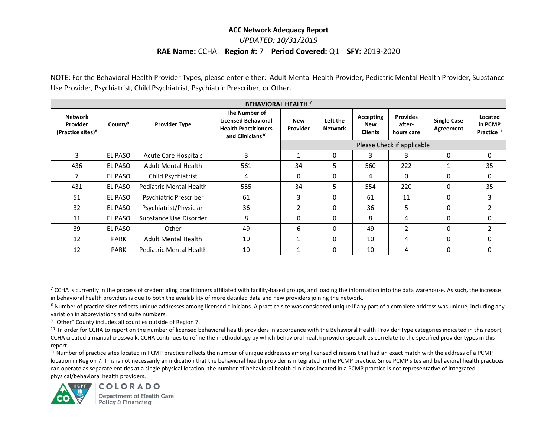### **ACC Network Adequacy Report**  *UPDATED: 10/31/2019* **RAE Name:** CCHA **Region #:** 7 **Period Covered:** Q1 **SFY:** 2019-2020

NOTE: For the Behavioral Health Provider Types, please enter either: Adult Mental Health Provider, Pediatric Mental Health Provider, Substance Use Provider, Psychiatrist, Child Psychiatrist, Psychiatric Prescriber, or Other.

| <b>BEHAVIORAL HEALTH 7</b>                                  |                     |                                |                                                                                                            |                            |                            |                                           |                                         |                                 |                                              |  |
|-------------------------------------------------------------|---------------------|--------------------------------|------------------------------------------------------------------------------------------------------------|----------------------------|----------------------------|-------------------------------------------|-----------------------------------------|---------------------------------|----------------------------------------------|--|
| <b>Network</b><br>Provider<br>(Practice sites) <sup>8</sup> | County <sup>9</sup> | <b>Provider Type</b>           | The Number of<br><b>Licensed Behavioral</b><br><b>Health Practitioners</b><br>and Clinicians <sup>10</sup> | <b>New</b><br>Provider     | Left the<br><b>Network</b> | Accepting<br><b>New</b><br><b>Clients</b> | <b>Provides</b><br>after-<br>hours care | <b>Single Case</b><br>Agreement | Located<br>in PCMP<br>Practice <sup>11</sup> |  |
|                                                             |                     |                                |                                                                                                            | Please Check if applicable |                            |                                           |                                         |                                 |                                              |  |
| 3                                                           | EL PASO             | <b>Acute Care Hospitals</b>    | 3                                                                                                          |                            | 0                          | 3                                         | 3                                       | 0                               | 0                                            |  |
| 436                                                         | EL PASO             | <b>Adult Mental Health</b>     | 561                                                                                                        | 34                         | 5                          | 560                                       | 222                                     |                                 | 35                                           |  |
| 7                                                           | EL PASO             | Child Psychiatrist             | 4                                                                                                          | $\Omega$                   | 0                          | 4                                         | 0                                       | 0                               | 0                                            |  |
| 431                                                         | <b>EL PASO</b>      | Pediatric Mental Health        | 555                                                                                                        | 34                         | 5                          | 554                                       | 220                                     | 0                               | 35                                           |  |
| 51                                                          | EL PASO             | Psychiatric Prescriber         | 61                                                                                                         | 3                          | 0                          | 61                                        | 11                                      | 0                               | 3                                            |  |
| 32                                                          | <b>EL PASO</b>      | Psychiatrist/Physician         | 36                                                                                                         | 2                          | $\Omega$                   | 36                                        | 5                                       | $\Omega$                        | 2                                            |  |
| 11                                                          | <b>EL PASO</b>      | Substance Use Disorder         | 8                                                                                                          | $\Omega$                   | 0                          | 8                                         | 4                                       | $\Omega$                        | 0                                            |  |
| 39                                                          | EL PASO             | Other                          | 49                                                                                                         | 6                          | 0                          | 49                                        | 2                                       | 0                               |                                              |  |
| 12                                                          | <b>PARK</b>         | <b>Adult Mental Health</b>     | 10                                                                                                         | 1                          | 0                          | 10                                        | 4                                       | $\Omega$                        | 0                                            |  |
| 12                                                          | <b>PARK</b>         | <b>Pediatric Mental Health</b> | 10                                                                                                         | $\overline{1}$             | $\Omega$                   | 10                                        | 4                                       | $\Omega$                        | 0                                            |  |

<sup>&</sup>lt;sup>11</sup> Number of practice sites located in PCMP practice reflects the number of unique addresses among licensed clinicians that had an exact match with the address of a PCMP location in Region 7. This is not necessarily an indication that the behavioral health provider is integrated in the PCMP practice. Since PCMP sites and behavioral health practices can operate as separate entities at a single physical location, the number of behavioral health clinicians located in a PCMP practice is not representative of integrated physical/behavioral health providers.



 $\overline{\phantom{a}}$ 

 $^7$  CCHA is currently in the process of credentialing practitioners affiliated with facility-based groups, and loading the information into the data warehouse. As such, the increase in behavioral health providers is due to both the availability of more detailed data and new providers joining the network.

<sup>&</sup>lt;sup>8</sup> Number of practice sites reflects unique addresses among licensed clinicians. A practice site was considered unique if any part of a complete address was unique, including any variation in abbreviations and suite numbers.

<sup>9</sup> "Other" County includes all counties outside of Region 7.

<sup>&</sup>lt;sup>10</sup> In order for CCHA to report on the number of licensed behavioral health providers in accordance with the Behavioral Health Provider Type categories indicated in this report, CCHA created a manual crosswalk. CCHA continues to refine the methodology by which behavioral health provider specialties correlate to the specified provider types in this report.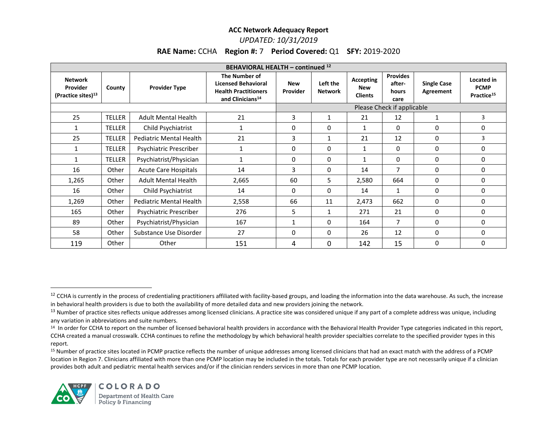#### *UPDATED: 10/31/2019*

### **RAE Name:** CCHA **Region #:** 7 **Period Covered:** Q1 **SFY:** 2019-2020

| BEHAVIORAL HEALTH - continued <sup>12</sup>                  |               |                             |                                                                                                            |                            |                            |                                           |                                            |                                 |                                                     |  |
|--------------------------------------------------------------|---------------|-----------------------------|------------------------------------------------------------------------------------------------------------|----------------------------|----------------------------|-------------------------------------------|--------------------------------------------|---------------------------------|-----------------------------------------------------|--|
| <b>Network</b><br>Provider<br>(Practice sites) <sup>13</sup> | County        | <b>Provider Type</b>        | The Number of<br><b>Licensed Behavioral</b><br><b>Health Practitioners</b><br>and Clinicians <sup>14</sup> | <b>New</b><br>Provider     | Left the<br><b>Network</b> | Accepting<br><b>New</b><br><b>Clients</b> | <b>Provides</b><br>after-<br>hours<br>care | <b>Single Case</b><br>Agreement | Located in<br><b>PCMP</b><br>Practice <sup>15</sup> |  |
|                                                              |               |                             |                                                                                                            | Please Check if applicable |                            |                                           |                                            |                                 |                                                     |  |
| 25                                                           | <b>TELLER</b> | <b>Adult Mental Health</b>  | 21                                                                                                         | 3                          | 1                          | 21                                        | 12                                         | 1                               | 3                                                   |  |
| $\mathbf{1}$                                                 | <b>TELLER</b> | Child Psychiatrist          | $\mathbf{1}$                                                                                               | $\mathbf{0}$               | 0                          | 1                                         | 0                                          | 0                               | 0                                                   |  |
| 25                                                           | <b>TELLER</b> | Pediatric Mental Health     | 21                                                                                                         | 3                          | 1                          | 21                                        | 12                                         | 0                               | 3                                                   |  |
| $\mathbf{1}$                                                 | <b>TELLER</b> | Psychiatric Prescriber      | $\mathbf{1}$                                                                                               | 0                          | 0                          | $\mathbf{1}$                              | 0                                          | $\Omega$                        | 0                                                   |  |
| 1                                                            | <b>TELLER</b> | Psychiatrist/Physician      | $\mathbf{1}$                                                                                               | 0                          | 0                          | $\mathbf{1}$                              | 0                                          | 0                               | 0                                                   |  |
| 16                                                           | Other         | <b>Acute Care Hospitals</b> | 14                                                                                                         | 3                          | 0                          | 14                                        | 7                                          | 0                               | 0                                                   |  |
| 1,265                                                        | Other         | <b>Adult Mental Health</b>  | 2,665                                                                                                      | 60                         | 5                          | 2,580                                     | 664                                        | 0                               | 0                                                   |  |
| 16                                                           | Other         | Child Psychiatrist          | 14                                                                                                         | $\mathbf{0}$               | 0                          | 14                                        | 1                                          | 0                               | 0                                                   |  |
| 1,269                                                        | Other         | Pediatric Mental Health     | 2,558                                                                                                      | 66                         | 11                         | 2,473                                     | 662                                        | $\Omega$                        | 0                                                   |  |
| 165                                                          | Other         | Psychiatric Prescriber      | 276                                                                                                        | 5                          | $\mathbf{1}$               | 271                                       | 21                                         | 0                               | 0                                                   |  |
| 89                                                           | Other         | Psychiatrist/Physician      | 167                                                                                                        |                            | $\Omega$                   | 164                                       | 7                                          | $\Omega$                        | 0                                                   |  |
| 58                                                           | Other         | Substance Use Disorder      | 27                                                                                                         | $\mathbf{0}$               | $\Omega$                   | 26                                        | 12                                         | 0                               | $\Omega$                                            |  |
| 119                                                          | Other         | Other                       | 151                                                                                                        | 4                          | 0                          | 142                                       | 15                                         | 0                               | 0                                                   |  |

<sup>15</sup> Number of practice sites located in PCMP practice reflects the number of unique addresses among licensed clinicians that had an exact match with the address of a PCMP location in Region 7. Clinicians affiliated with more than one PCMP location may be included in the totals. Totals for each provider type are not necessarily unique if a clinician provides both adult and pediatric mental health services and/or if the clinician renders services in more than one PCMP location.



 $\overline{a}$ 

<sup>&</sup>lt;sup>12</sup> CCHA is currently in the process of credentialing practitioners affiliated with facility-based groups, and loading the information into the data warehouse. As such, the increase in behavioral health providers is due to both the availability of more detailed data and new providers joining the network.

<sup>&</sup>lt;sup>13</sup> Number of practice sites reflects unique addresses among licensed clinicians. A practice site was considered unique if any part of a complete address was unique, including any variation in abbreviations and suite numbers.

<sup>&</sup>lt;sup>14</sup> In order for CCHA to report on the number of licensed behavioral health providers in accordance with the Behavioral Health Provider Type categories indicated in this report, CCHA created a manual crosswalk. CCHA continues to refine the methodology by which behavioral health provider specialties correlate to the specified provider types in this report.